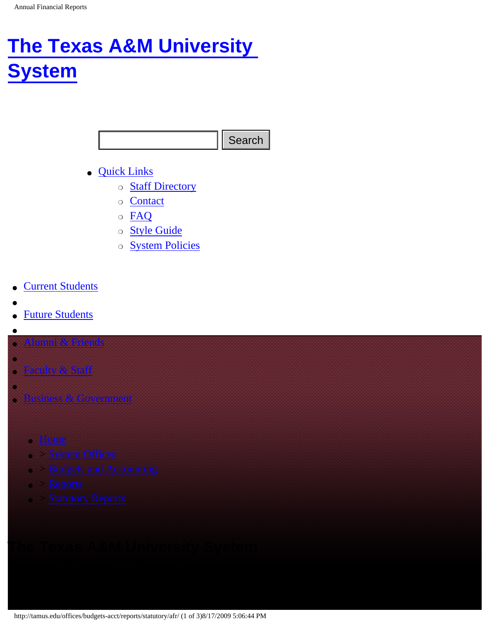# <span id="page-0-0"></span>**[The Texas A&M University](http://www.tamus.edu/) [System](http://www.tamus.edu/)**

- [Quick Links](#page-0-0)
	- o [Staff Directory](http://www.tamus.edu/directory/)
	- ❍ [Contact](http://www.tamus.edu/contact/)
	- ❍ [FAQ](http://www.tamus.edu/overview/faq.html)
	- ❍ [Style Guide](http://www.tamus.edu/styleguide)
	- ❍ [System Policies](http://www.tamus.edu/offices/policy/)
- **[Current Students](http://www.tamus.edu/students/)**
- ●
- **[Future Students](http://www.tamus.edu/future/)**
- ●

●

- [Alumni & Friends](http://www.tamus.edu/friends/)
- [Faculty & Staff](http://www.tamus.edu/facultystaff/)
- ●
- **[Business & Government](http://www.tamus.edu/business/)** 
	- [Home](http://tamus.edu/)
	- > [System Offices](http://tamus.edu/offices/)
	- > [Budgets and Accounting](http://tamus.edu/offices/budgets-acct/)
	- > [Reports](http://tamus.edu/offices/budgets-acct/reports/)
	-

# http://tamus.edu/offices/budgets-acct/reports/statutory/afr/ (1 of 3)8/17/2009 5:06:44 PM<br>
The Texas A & M University PM Search<br>
The Texas A & M University PM Search<br>
The Texas A & M University System<br>
PM Search<br>
The Texa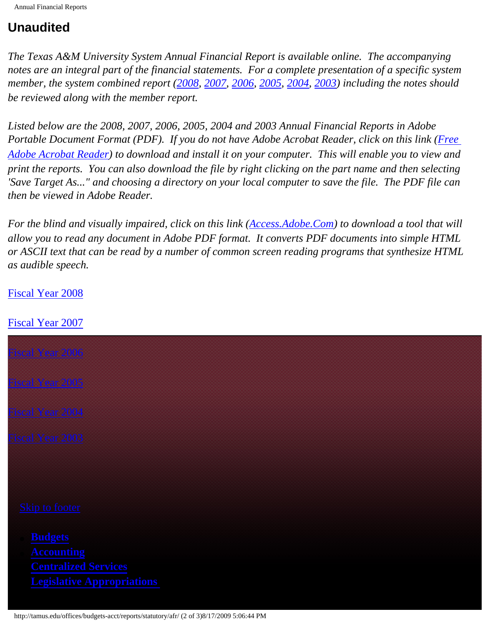# **Unaudited**

*The Texas A&M University System Annual Financial Report is available online. The accompanying notes are an integral part of the financial statements. For a complete presentation of a specific system member, the system combined report ([2008,](http://tamus.edu/offices/budgets-acct/reports/statutory/afr/afr2008.html) [2007,](http://tamus.edu/offices/budgets-acct/reports/statutory/afr/afr2007.html) [2006,](http://tamus.edu/offices/budgets-acct/reports/statutory/afr/afr2006.html) [2005,](http://tamus.edu/web/disclaimer.aspx?report=SOBAFY2005Combined) [2004,](http://tamus.edu/web/disclaimer.aspx?report=SOBAFY2004Combined) [2003\)](http://tamus.edu/web/disclaimer.aspx?report=SOBAFY2003Combined) including the notes should be reviewed along with the member report.*

*Listed below are the 2008, 2007, 2006, 2005, 2004 and 2003 Annual Financial Reports in Adobe Portable Document Format (PDF). If you do not have Adobe Acrobat Reader, click on this link (Free [Adobe Acrobat Reader](http://www.adobe.com/products/acrobat/readstep.htm)) to download and install it on your computer. This will enable you to view and print the reports. You can also download the file by right clicking on the part name and then selecting 'Save Target As..." and choosing a directory on your local computer to save the file. The PDF file can then be viewed in Adobe Reader.*

*For the blind and visually impaired, click on this link ([Access.Adobe.Com](http://access.adobe.com/)) to download a tool that will allow you to read any document in Adobe PDF format. It converts PDF documents into simple HTML or ASCII text that can be read by a number of common screen reading programs that synthesize HTML as audible speech.*

### [Fiscal Year 2008](http://tamus.edu/offices/budgets-acct/reports/statutory/afr/afr2008.html)

## [Fiscal Year 2007](http://tamus.edu/offices/budgets-acct/reports/statutory/afr/afr2007.html)

| Fiscal Year 2006                                                                      |  |  |
|---------------------------------------------------------------------------------------|--|--|
| Fiscal Year 2005                                                                      |  |  |
| <b>Fiscal Year 2004</b>                                                               |  |  |
| <b>Fiscal Year 2003</b>                                                               |  |  |
|                                                                                       |  |  |
| <b>Skip to footer</b>                                                                 |  |  |
| <b>Budgets</b>                                                                        |  |  |
| <b>Accounting</b><br><b>Centralized Services</b><br><b>Legislative Appropriations</b> |  |  |